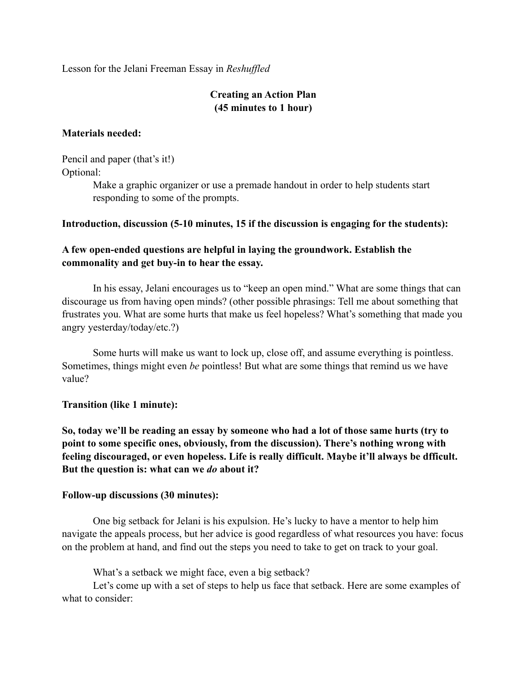Lesson for the Jelani Freeman Essay in *Reshuffled*

# **Creating an Action Plan (45 minutes to 1 hour)**

#### **Materials needed:**

Pencil and paper (that's it!) Optional:

> Make a graphic organizer or use a premade handout in order to help students start responding to some of the prompts.

### **Introduction, discussion (5-10 minutes, 15 if the discussion is engaging for the students):**

# **A few open-ended questions are helpful in laying the groundwork. Establish the commonality and get buy-in to hear the essay.**

In his essay, Jelani encourages us to "keep an open mind." What are some things that can discourage us from having open minds? (other possible phrasings: Tell me about something that frustrates you. What are some hurts that make us feel hopeless? What's something that made you angry yesterday/today/etc.?)

Some hurts will make us want to lock up, close off, and assume everything is pointless. Sometimes, things might even *be* pointless! But what are some things that remind us we have value?

## **Transition (like 1 minute):**

**So, today we'll be reading an essay by someone who had a lot of those same hurts (try to point to some specific ones, obviously, from the discussion). There's nothing wrong with feeling discouraged, or even hopeless. Life is really difficult. Maybe it'll always be dfficult. But the question is: what can we** *do* **about it?**

#### **Follow-up discussions (30 minutes):**

One big setback for Jelani is his expulsion. He's lucky to have a mentor to help him navigate the appeals process, but her advice is good regardless of what resources you have: focus on the problem at hand, and find out the steps you need to take to get on track to your goal.

What's a setback we might face, even a big setback?

Let's come up with a set of steps to help us face that setback. Here are some examples of what to consider: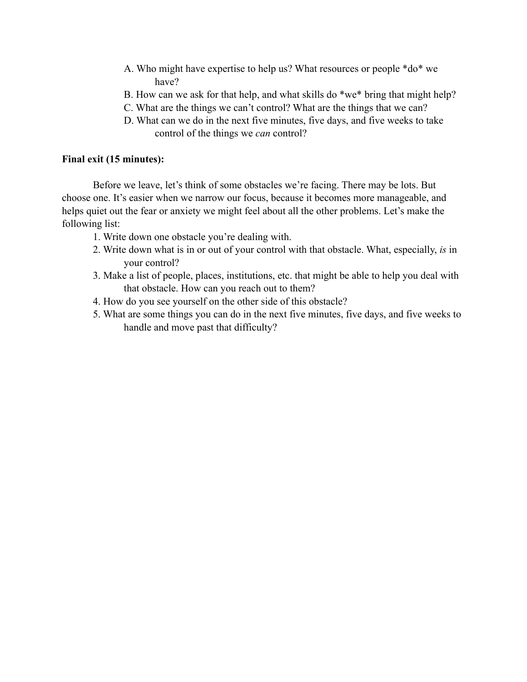- A. Who might have expertise to help us? What resources or people \*do\* we have?
- B. How can we ask for that help, and what skills do \*we\* bring that might help?
- C. What are the things we can't control? What are the things that we can?
- D. What can we do in the next five minutes, five days, and five weeks to take control of the things we *can* control?

## **Final exit (15 minutes):**

Before we leave, let's think of some obstacles we're facing. There may be lots. But choose one. It's easier when we narrow our focus, because it becomes more manageable, and helps quiet out the fear or anxiety we might feel about all the other problems. Let's make the following list:

- 1. Write down one obstacle you're dealing with.
- 2. Write down what is in or out of your control with that obstacle. What, especially, *is* in your control?
- 3. Make a list of people, places, institutions, etc. that might be able to help you deal with that obstacle. How can you reach out to them?
- 4. How do you see yourself on the other side of this obstacle?
- 5. What are some things you can do in the next five minutes, five days, and five weeks to handle and move past that difficulty?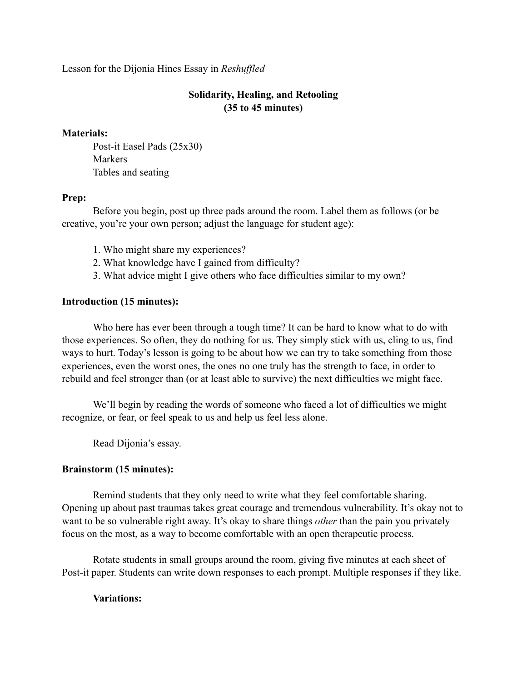Lesson for the Dijonia Hines Essay in *Reshuffled*

# **Solidarity, Healing, and Retooling (35 to 45 minutes)**

#### **Materials:**

Post-it Easel Pads (25x30) Markers Tables and seating

### **Prep:**

Before you begin, post up three pads around the room. Label them as follows (or be creative, you're your own person; adjust the language for student age):

- 1. Who might share my experiences?
- 2. What knowledge have I gained from difficulty?
- 3. What advice might I give others who face difficulties similar to my own?

## **Introduction (15 minutes):**

Who here has ever been through a tough time? It can be hard to know what to do with those experiences. So often, they do nothing for us. They simply stick with us, cling to us, find ways to hurt. Today's lesson is going to be about how we can try to take something from those experiences, even the worst ones, the ones no one truly has the strength to face, in order to rebuild and feel stronger than (or at least able to survive) the next difficulties we might face.

We'll begin by reading the words of someone who faced a lot of difficulties we might recognize, or fear, or feel speak to us and help us feel less alone.

Read Dijonia's essay.

## **Brainstorm (15 minutes):**

Remind students that they only need to write what they feel comfortable sharing. Opening up about past traumas takes great courage and tremendous vulnerability. It's okay not to want to be so vulnerable right away. It's okay to share things *other* than the pain you privately focus on the most, as a way to become comfortable with an open therapeutic process.

Rotate students in small groups around the room, giving five minutes at each sheet of Post-it paper. Students can write down responses to each prompt. Multiple responses if they like.

## **Variations:**